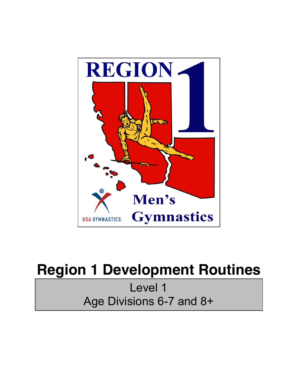

## **Region 1 Development Routines**

Level 1 Age Divisions 6-7 and 8+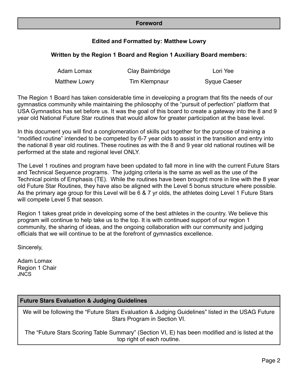#### **Foreword**

#### **Edited and Formatted by: Matthew Lowry**

#### **Written by the Region 1 Board and Region 1 Auxiliary Board members:**

| Adam Lomax    | Clay Baimbridge | Lori Yee     |
|---------------|-----------------|--------------|
| Matthew Lowry | Tim Klempnaur   | Syque Caeser |

The Region 1 Board has taken considerable time in developing a program that fits the needs of our gymnastics community while maintaining the philosophy of the "pursuit of perfection" platform that USA Gymnastics has set before us. It was the goal of this board to create a gateway into the 8 and 9 year old National Future Star routines that would allow for greater participation at the base level.

In this document you will find a conglomeration of skills put together for the purpose of training a "modified routine" intended to be competed by 6-7 year olds to assist in the transition and entry into the national 8 year old routines. These routines as with the 8 and 9 year old national routines will be performed at the state and regional level ONLY.

The Level 1 routines and program have been updated to fall more in line with the current Future Stars and Technical Sequence programs. The judging criteria is the same as well as the use of the Technical points of Emphasis (TE). While the routines have been brought more in line with the 8 year old Future Star Routines, they have also be aligned with the Level 5 bonus structure where possible. As the primary age group for this Level will be 6 & 7 yr olds, the athletes doing Level 1 Future Stars will compete Level 5 that season.

Region 1 takes great pride in developing some of the best athletes in the country. We believe this program will continue to help take us to the top. It is with continued support of our region 1 community, the sharing of ideas, and the ongoing collaboration with our community and judging officials that we will continue to be at the forefront of gymnastics excellence.

Sincerely,

Adam Lomax Region 1 Chair JNCS

#### **Future Stars Evaluation & Judging Guidelines**

We will be following the "Future Stars Evaluation & Judging Guidelines" listed in the USAG Future Stars Program in Section VI.

The "Future Stars Scoring Table Summary" (Section VI, E) has been modified and is listed at the top right of each routine.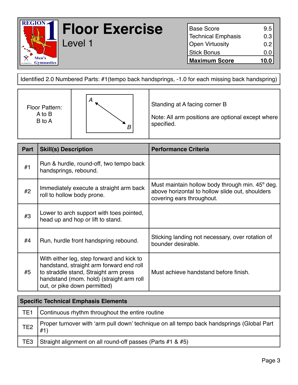

## **Floor Exercise** Level 1

Base Score 9.5 Technical Emphasis 0.3 Open Virtuosity **0.2** Stick Bonus 0.0 **Maximum Score 10.0**

Identified 2.0 Numbered Parts: #1(tempo back handsprings, -1.0 for each missing back handspring)

| Floor Pattern:<br>A to B<br>B to A | А | Standing at A facing corner B<br>Note: All arm positions are optional except where<br>specified. |
|------------------------------------|---|--------------------------------------------------------------------------------------------------|
|------------------------------------|---|--------------------------------------------------------------------------------------------------|

| Part | <b>Skill(s) Description</b>                                                                                                                                                                                | <b>Performance Criteria</b>                                                                                                     |
|------|------------------------------------------------------------------------------------------------------------------------------------------------------------------------------------------------------------|---------------------------------------------------------------------------------------------------------------------------------|
| #1   | Run & hurdle, round-off, two tempo back<br>handsprings, rebound.                                                                                                                                           |                                                                                                                                 |
| #2   | Immediately execute a straight arm back<br>roll to hollow body prone.                                                                                                                                      | Must maintain hollow body through min. 45° deg.<br>above horizontal to hollow slide out, shoulders<br>covering ears throughout. |
| #3   | Lower to arch support with toes pointed,<br>head up and hop or lift to stand.                                                                                                                              |                                                                                                                                 |
| #4   | Run, hurdle front handspring rebound.                                                                                                                                                                      | Sticking landing not necessary, over rotation of<br>bounder desirable.                                                          |
| #5   | With either leg, step forward and kick to<br>handstand, straight arm forward end roll<br>to straddle stand, Straight arm press<br>handstand (mom. hold) (straight arm roll<br>out, or pike down permitted) | Must achieve handstand before finish.                                                                                           |

| <b>Specific Technical Emphasis Elements</b> |                                                                                                  |  |
|---------------------------------------------|--------------------------------------------------------------------------------------------------|--|
| TE1                                         | Continuous rhythm throughout the entire routine                                                  |  |
| TE <sub>2</sub>                             | Proper turnover with 'arm pull down' technique on all tempo back handsprings (Global Part<br>#1) |  |
| TE3                                         | Straight alignment on all round-off passes (Parts #1 & #5)                                       |  |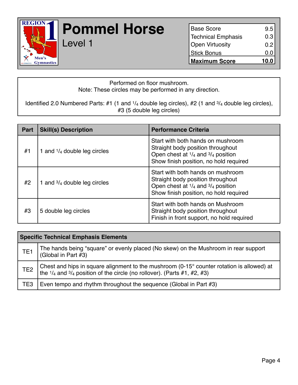

## **Pommel Horse**

Level 1

| <b>Base Score</b>    | 9.5             |
|----------------------|-----------------|
| Technical Emphasis   | 0.3             |
| Open Virtuosity      | 0.2             |
| Stick Bonus          | 0. <sub>C</sub> |
| <b>Maximum Score</b> | 10.0            |

#### Performed on floor mushroom. Note: These circles may be performed in any direction.

Identified 2.0 Numbered Parts: #1 (1 and 1/4 double leg circles), #2 (1 and 3/4 double leg circles), #3 (5 double leg circles)

| <b>Part</b> | <b>Skill(s) Description</b>            | <b>Performance Criteria</b>                                                                                                                                                |
|-------------|----------------------------------------|----------------------------------------------------------------------------------------------------------------------------------------------------------------------------|
| #1          | 1 and $\frac{1}{4}$ double leg circles | Start with both hands on mushroom<br>Straight body position throughout<br>Open chest at $\frac{1}{4}$ and $\frac{3}{4}$ position<br>Show finish position, no hold required |
| #2          | 1 and $\frac{3}{4}$ double leg circles | Start with both hands on mushroom<br>Straight body position throughout<br>Open chest at $1/4$ and $3/4$ position<br>Show finish position, no hold required                 |
| #3          | 5 double leg circles                   | Start with both hands on Mushroom<br>Straight body position throughout<br>Finish in front support, no hold required                                                        |

| <b>Specific Technical Emphasis Elements</b> |                                                                                                                                                                                                    |  |  |
|---------------------------------------------|----------------------------------------------------------------------------------------------------------------------------------------------------------------------------------------------------|--|--|
| TE <sub>1</sub>                             | The hands being "square" or evenly placed (No skew) on the Mushroom in rear support<br>(Global in Part #3)                                                                                         |  |  |
| TE <sub>2</sub>                             | Chest and hips in square alignment to the mushroom $(0-15^{\circ}$ counter rotation is allowed) at<br>the $\frac{1}{4}$ and $\frac{3}{4}$ position of the circle (no rollover). (Parts #1, #2, #3) |  |  |
| TE <sub>3</sub>                             | Even tempo and rhythm throughout the sequence (Global in Part #3)                                                                                                                                  |  |  |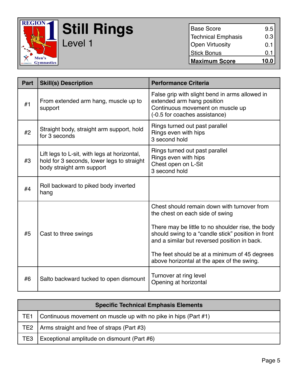

**Still Rings** Level 1

Base Score 9.5 Technical Emphasis 0.3 Open Virtuosity **0.1** Stick Bonus 0.1 **Maximum Score 10.0**

| Part | <b>Skill(s) Description</b>                                                                                             | <b>Performance Criteria</b>                                                                                                                                                                                                                                                                                                              |
|------|-------------------------------------------------------------------------------------------------------------------------|------------------------------------------------------------------------------------------------------------------------------------------------------------------------------------------------------------------------------------------------------------------------------------------------------------------------------------------|
| #1   | From extended arm hang, muscle up to<br>support                                                                         | False grip with slight bend in arms allowed in<br>extended arm hang position<br>Continuous movement on muscle up<br>(-0.5 for coaches assistance)                                                                                                                                                                                        |
| #2   | Straight body, straight arm support, hold<br>for 3 seconds                                                              | Rings turned out past parallel<br>Rings even with hips<br>3 second hold                                                                                                                                                                                                                                                                  |
| #3   | Lift legs to L-sit, with legs at horizontal,<br>hold for 3 seconds, lower legs to straight<br>body straight arm support | Rings turned out past parallel<br>Rings even with hips<br>Chest open on L-Sit<br>3 second hold                                                                                                                                                                                                                                           |
| #4   | Roll backward to piked body inverted<br>hang                                                                            |                                                                                                                                                                                                                                                                                                                                          |
| #5   | Cast to three swings                                                                                                    | Chest should remain down with turnover from<br>the chest on each side of swing<br>There may be little to no shoulder rise, the body<br>should swing to a "candle stick" position in front<br>and a similar but reversed position in back.<br>The feet should be at a minimum of 45 degrees<br>above horizontal at the apex of the swing. |
| #6   | Salto backward tucked to open dismount                                                                                  | Turnover at ring level<br>Opening at horizontal                                                                                                                                                                                                                                                                                          |

| <b>Specific Technical Emphasis Elements</b> |                                                                 |  |
|---------------------------------------------|-----------------------------------------------------------------|--|
| TE <sub>1</sub>                             | Continuous movement on muscle up with no pike in hips (Part #1) |  |
|                                             | TE2 $\vert$ Arms straight and free of straps (Part #3)          |  |
| TE <sub>3</sub>                             | Exceptional amplitude on dismount (Part #6)                     |  |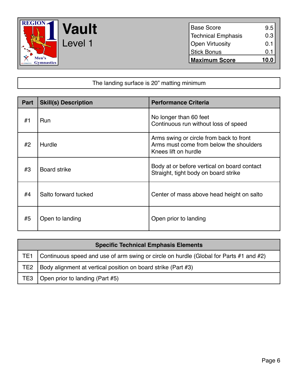

Base Score 9.5 Technical Emphasis 0.3 Open Virtuosity **0.1** Stick Bonus 0.1 **Maximum Score 10.0**

#### The landing surface is 20" matting minimum

| <b>Part</b> | <b>Skill(s) Description</b> | <b>Performance Criteria</b>                                                                                |
|-------------|-----------------------------|------------------------------------------------------------------------------------------------------------|
| #1          | Run                         | No longer than 60 feet<br>Continuous run without loss of speed                                             |
| #2          | Hurdle                      | Arms swing or circle from back to front<br>Arms must come from below the shoulders<br>Knees lift on hurdle |
| #3          | <b>Board strike</b>         | Body at or before vertical on board contact<br>Straight, tight body on board strike                        |
| #4          | Salto forward tucked        | Center of mass above head height on salto                                                                  |
| #5          | Open to landing             | Open prior to landing                                                                                      |

| <b>Specific Technical Emphasis Elements</b> |                                                                                        |  |
|---------------------------------------------|----------------------------------------------------------------------------------------|--|
| TE1                                         | Continuous speed and use of arm swing or circle on hurdle (Global for Parts #1 and #2) |  |
| TE2                                         | Body alignment at vertical position on board strike (Part #3)                          |  |
| TE3                                         | Open prior to landing (Part #5)                                                        |  |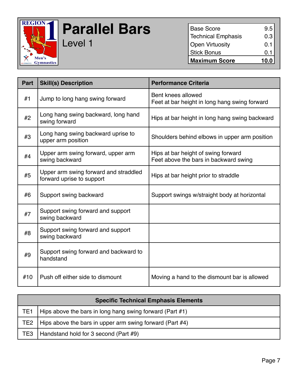

# **Parallel Bars**

Level 1

| <b>Base Score</b>         | 9.5  |
|---------------------------|------|
| <b>Technical Emphasis</b> | 0.3  |
| <b>Open Virtuosity</b>    | 0.1  |
| <b>Stick Bonus</b>        | 0.1  |
| <b>Maximum Score</b>      | 10.0 |

| Part | <b>Skill(s) Description</b>                                        | <b>Performance Criteria</b>                                                  |
|------|--------------------------------------------------------------------|------------------------------------------------------------------------------|
| #1   | Jump to long hang swing forward                                    | Bent knees allowed<br>Feet at bar height in long hang swing forward          |
| #2   | Long hang swing backward, long hand<br>swing forward               | Hips at bar height in long hang swing backward                               |
| #3   | Long hang swing backward uprise to<br>upper arm position           | Shoulders behind elbows in upper arm position                                |
| #4   | Upper arm swing forward, upper arm<br>swing backward               | Hips at bar height of swing forward<br>Feet above the bars in backward swing |
| #5   | Upper arm swing forward and straddled<br>forward uprise to support | Hips at bar height prior to straddle                                         |
| #6   | Support swing backward                                             | Support swings w/straight body at horizontal                                 |
| #7   | Support swing forward and support<br>swing backward                |                                                                              |
| #8   | Support swing forward and support<br>swing backward                |                                                                              |
| #9   | Support swing forward and backward to<br>handstand                 |                                                                              |
| #10  | Push off either side to dismount                                   | Moving a hand to the dismount bar is allowed                                 |

| <b>Specific Technical Emphasis Elements</b> |                                                             |  |
|---------------------------------------------|-------------------------------------------------------------|--|
| TE1                                         | Hips above the bars in long hang swing forward (Part #1)    |  |
| TE2                                         | Hips above the bars in upper arm swing forward (Part $#4$ ) |  |
| TE3                                         | Handstand hold for 3 second (Part #9)                       |  |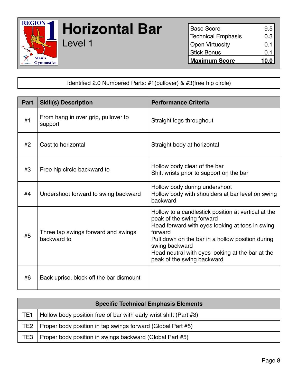

# **Horizontal Bar**

Level 1

Base Score 9.5 Technical Emphasis 0.3 Open Virtuosity **0.1** Stick Bonus 0.1 **Maximum Score 10.0**

Identified 2.0 Numbered Parts: #1(pullover) & #3(free hip circle)

| <b>Part</b> | <b>Skill(s) Description</b>                        | <b>Performance Criteria</b>                                                                                                                                                                                                                                                                            |
|-------------|----------------------------------------------------|--------------------------------------------------------------------------------------------------------------------------------------------------------------------------------------------------------------------------------------------------------------------------------------------------------|
| #1          | From hang in over grip, pullover to<br>support     | Straight legs throughout                                                                                                                                                                                                                                                                               |
| #2          | Cast to horizontal                                 | Straight body at horizontal                                                                                                                                                                                                                                                                            |
| #3          | Free hip circle backward to                        | Hollow body clear of the bar<br>Shift wrists prior to support on the bar                                                                                                                                                                                                                               |
| #4          | Undershoot forward to swing backward               | Hollow body during undershoot<br>Hollow body with shoulders at bar level on swing<br>backward                                                                                                                                                                                                          |
| #5          | Three tap swings forward and swings<br>backward to | Hollow to a candlestick position at vertical at the<br>peak of the swing forward<br>Head forward with eyes looking at toes in swing<br>forward<br>Pull down on the bar in a hollow position during<br>swing backward<br>Head neutral with eyes looking at the bar at the<br>peak of the swing backward |
| #6          | Back uprise, block off the bar dismount            |                                                                                                                                                                                                                                                                                                        |

| <b>Specific Technical Emphasis Elements</b> |                                                                   |  |
|---------------------------------------------|-------------------------------------------------------------------|--|
| TE <sub>1</sub>                             | Hollow body position free of bar with early wrist shift (Part #3) |  |
| TE2                                         | Proper body position in tap swings forward (Global Part #5)       |  |
| TE3                                         | Proper body position in swings backward (Global Part #5)          |  |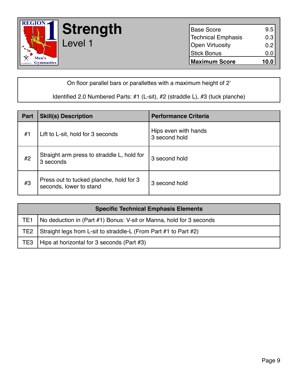

**Strength**

Level 1

| <b>Base Score</b>            | $\begin{bmatrix} 9.5 \\ 0.3 \end{bmatrix}$ |
|------------------------------|--------------------------------------------|
| <b>Technical Emphasis</b>    |                                            |
| <b>Open Virtuosity</b>       | 0.2                                        |
| <b>Stick Bonus</b>           | 0.0                                        |
| 10.0<br><b>Maximum Score</b> |                                            |

On floor parallel bars or parallettes with a maximum height of 2'

#### Identified 2.0 Numbered Parts: #1 (L-sit), #2 (straddle L), #3 (tuck planche)

| Part | <b>Skill(s) Description</b>                                        | <b>Performance Criteria</b>           |
|------|--------------------------------------------------------------------|---------------------------------------|
| #1   | Lift to L-sit, hold for 3 seconds                                  | Hips even with hands<br>3 second hold |
| #2   | Straight arm press to straddle L, hold for<br>3 seconds            | 3 second hold                         |
| #3   | Press out to tucked planche, hold for 3<br>seconds, lower to stand | 3 second hold                         |

| <b>Specific Technical Emphasis Elements</b> |                                                                     |  |
|---------------------------------------------|---------------------------------------------------------------------|--|
| TE1                                         | No deduction in (Part #1) Bonus: V-sit or Manna, hold for 3 seconds |  |
| TE2                                         | Straight legs from L-sit to straddle-L (From Part #1 to Part #2)    |  |
| TE3                                         | Hips at horizontal for 3 seconds (Part #3)                          |  |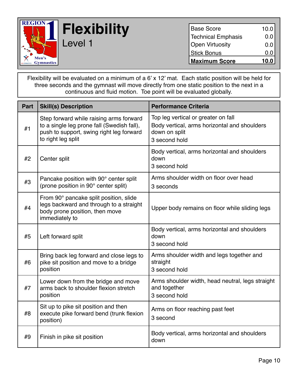

### **Flexibility** Level 1

| <b>Maximum Score</b>      | 10.0 |
|---------------------------|------|
| <b>Stick Bonus</b>        | 0.0  |
| <b>Open Virtuosity</b>    | 0.0  |
| <b>Technical Emphasis</b> | 0.0  |
| <b>Base Score</b>         | 10.0 |

Flexibility will be evaluated on a minimum of a 6' x 12' mat. Each static position will be held for three seconds and the gymnast will move directly from one static position to the next in a continuous and fluid motion. Toe point will be evaluated globally.

| <b>Part</b> | <b>Skill(s) Description</b>                                                                                                                             | <b>Performance Criteria</b>                                                                                           |
|-------------|---------------------------------------------------------------------------------------------------------------------------------------------------------|-----------------------------------------------------------------------------------------------------------------------|
| #1          | Step forward while raising arms forward<br>to a single leg prone fall (Swedish fall),<br>push to support, swing right leg forward<br>to right leg split | Top leg vertical or greater on fall<br>Body vertical, arms horizontal and shoulders<br>down on split<br>3 second hold |
| #2          | Center split                                                                                                                                            | Body vertical, arms horizontal and shoulders<br>down<br>3 second hold                                                 |
| #3          | Pancake position with 90° center split<br>(prone position in 90° center split)                                                                          | Arms shoulder width on floor over head<br>3 seconds                                                                   |
| #4          | From 90° pancake split position, slide<br>legs backward and through to a straight<br>body prone position, then move<br>immediately to                   | Upper body remains on floor while sliding legs                                                                        |
| #5          | Left forward split                                                                                                                                      | Body vertical, arms horizontal and shoulders<br>down<br>3 second hold                                                 |
| #6          | Bring back leg forward and close legs to<br>pike sit position and move to a bridge<br>position                                                          | Arms shoulder width and legs together and<br>straight<br>3 second hold                                                |
| #7          | Lower down from the bridge and move<br>arms back to shoulder flexion stretch<br>position                                                                | Arms shoulder width, head neutral, legs straight<br>and together<br>3 second hold                                     |
| #8          | Sit up to pike sit position and then<br>execute pike forward bend (trunk flexion<br>position)                                                           | Arms on floor reaching past feet<br>3 second                                                                          |
| #9          | Finish in pike sit position                                                                                                                             | Body vertical, arms horizontal and shoulders<br>down                                                                  |